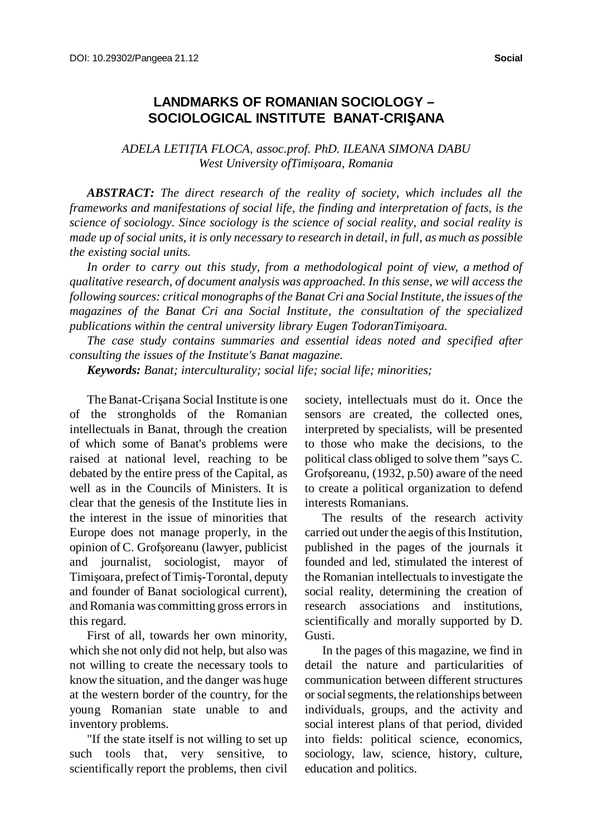## **LANDMARKS OF ROMANIAN SOCIOLOGY – SOCIOLOGICAL INSTITUTE BANAT-CRIŞANA**

## *ADELA LETIŢIA FLOCA, assoc.prof. PhD. ILEANA SIMONA DABU West University ofTimişoara, Romania*

*ABSTRACT: The direct research of the reality of society, which includes all the frameworks and manifestations of social life, the finding and interpretation of facts, is the science of sociology. Since sociology is the science of social reality, and social reality is* made up of social units, it is only necessary to research in detail, in full, as much as possible *the existing social units.*

 *In order to carry out this study, from a methodological point of view, a method of qualitative research, of document analysis was approached. In this sense, we will access the following sources: critical monographs of the Banat Cri ana Social Institute, the issues of the magazines of the Banat Cri ana Social Institute, the consultation of the specialized publications within the central university library Eugen TodoranTimişoara.*

*The case study contains summaries and essential ideas noted and specified after consulting the issues of the Institute's Banat magazine.*

*Keywords: Banat; interculturality; social life; social life; minorities;*

The Banat-Crisana Social Institute is one of the strongholds of the Romanian intellectuals in Banat, through the creation of which some of Banat's problems were raised at national level, reaching to be debated by the entire press of the Capital, as well as in the Councils of Ministers. It is clear that the genesis of the Institute lies in the interest in the issue of minorities that Europe does not manage properly, in the opinion of C. Grofşoreanu (lawyer, publicist and journalist, sociologist, mayor of Timişoara, prefect ofTimiş-Torontal, deputy and founder of Banat sociological current), and Romania was committing gross errorsin this regard.

First of all, towards her own minority, which she not only did not help, but also was not willing to create the necessary tools to know the situation, and the danger was huge at the western border of the country, for the young Romanian state unable to and inventory problems.

"If the state itself is not willing to set up such tools that, very sensitive, to scientifically report the problems, then civil society, intellectuals must do it. Once the sensors are created, the collected ones, interpreted by specialists, will be presented to those who make the decisions, to the political class obliged to solve them "says C. Grofşoreanu, (1932, p.50) aware of the need to create a political organization to defend interests Romanians.

The results of the research activity carried out under the aegis of this Institution, published in the pages of the journals it founded and led, stimulated the interest of the Romanian intellectuals to investigate the social reality, determining the creation of research associations and institutions, scientifically and morally supported by D. Gusti.

In the pages of this magazine, we find in detail the nature and particularities of communication between different structures orsocialsegments, the relationships between individuals, groups, and the activity and social interest plans of that period, divided into fields: political science, economics, sociology, law, science, history, culture, education and politics.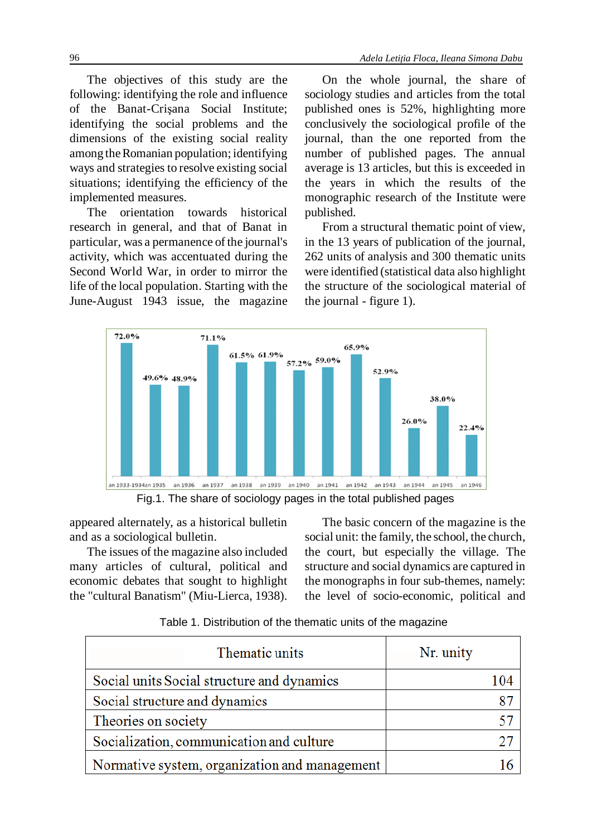The objectives of this study are the following: identifying the role and influence of the Banat-Crişana Social Institute; identifying the social problems and the dimensions of the existing social reality among the Romanian population; identifying ways and strategies to resolve existing social situations; identifying the efficiency of the implemented measures.

The orientation towards historical research in general, and that of Banat in particular, was a permanence of the journal's activity, which was accentuated during the Second World War, in order to mirror the life of the local population. Starting with the June-August 1943 issue, the magazine

On the whole journal, the share of sociology studies and articles from the total published ones is 52%, highlighting more conclusively the sociological profile of the journal, than the one reported from the number of published pages. The annual average is 13 articles, but this is exceeded in the years in which the results of the monographic research of the Institute were published.

From a structural thematic point of view, in the 13 years of publication of the journal, 262 units of analysis and 300 thematic units were identified (statistical data also highlight the structure of the sociological material of the journal - figure 1).



Fig.1. The share of sociology pages in the total published pages

appeared alternately, as a historical bulletin and as a sociological bulletin.

The issues of the magazine also included many articles of cultural, political and economic debates that sought to highlight the "cultural Banatism" (Miu-Lierca, 1938).

The basic concern of the magazine is the social unit: the family, the school, the church, the court, but especially the village. The structure and social dynamics are captured in the monographs in four sub-themes, namely: the level of socio-economic, political and

|                                               | Thematic units | Nr. unity |
|-----------------------------------------------|----------------|-----------|
| Social units Social structure and dynamics    |                | 104       |
| Social structure and dynamics                 |                | 87        |
| Theories on society                           |                |           |
| Socialization, communication and culture      |                |           |
| Normative system, organization and management |                |           |

Table 1. Distribution of the thematic units of the magazine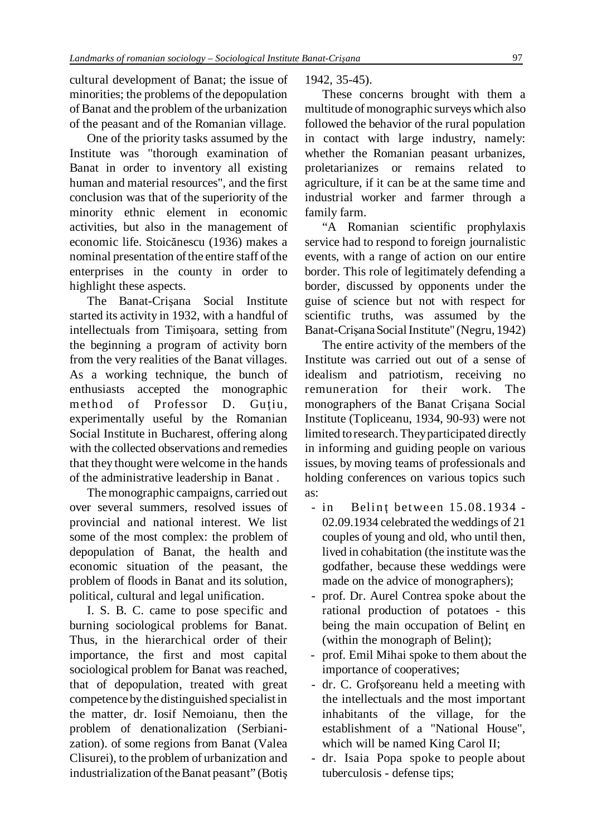cultural development of Banat; the issue of minorities; the problems of the depopulation of Banat and the problem of the urbanization of the peasant and of the Romanian village.

One of the priority tasks assumed by the Institute was "thorough examination of Banat in order to inventory all existing human and material resources", and the first conclusion was that of the superiority of the minority ethnic element in economic activities, but also in the management of economic life. Stoicănescu (1936) makes a nominal presentation of the entire staff of the enterprises in the county in order to highlight these aspects.

The Banat-Crişana Social Institute started its activity in 1932, with a handful of intellectuals from Timişoara, setting from the beginning a program of activity born from the very realities of the Banat villages. As a working technique, the bunch of enthusiasts accepted the monographic method of Professor D. Gutiu, experimentally useful by the Romanian Social Institute in Bucharest, offering along with the collected observations and remedies that they thought were welcome in the hands of the administrative leadership in Banat .

The monographic campaigns, carried out over several summers, resolved issues of provincial and national interest. We list some of the most complex: the problem of depopulation of Banat, the health and economic situation of the peasant, the problem of floods in Banat and its solution, political, cultural and legal unification.

I. S. B. C. came to pose specific and burning sociological problems for Banat. Thus, in the hierarchical order of their importance, the first and most capital sociological problem for Banat was reached, that of depopulation, treated with great competence bythe distinguished specialist in the matter, dr. Iosif Nemoianu, then the problem of denationalization (Serbianization). of some regions from Banat (Valea Clisurei), to the problem of urbanization and industrialization of the Banat peasant" (Botiş 1942, 35-45).

These concerns brought with them a multitude of monographic surveys which also followed the behavior of the rural population in contact with large industry, namely: whether the Romanian peasant urbanizes, proletarianizes or remains related to agriculture, if it can be at the same time and industrial worker and farmer through a family farm.

"A Romanian scientific prophylaxis service had to respond to foreign journalistic events, with a range of action on our entire border. This role of legitimately defending a border, discussed by opponents under the guise of science but not with respect for scientific truths, was assumed by the Banat-Crişana Social Institute" (Negru, 1942)

The entire activity of the members of the Institute was carried out out of a sense of idealism and patriotism, receiving no remuneration for their work. The monographers of the Banat Crişana Social Institute (Topliceanu, 1934, 90-93) were not limited toresearch. Theyparticipated directly in informing and guiding people on various issues, by moving teams of professionals and holding conferences on various topics such as:

- $-$  in Belint between 15.08.1934 -02.09.1934 celebrated the weddings of 21 couples of young and old, who until then, lived in cohabitation (the institute wasthe godfather, because these weddings were made on the advice of monographers);
- prof. Dr. Aurel Contrea spoke about the rational production of potatoes - this being the main occupation of Belinţ en (within the monograph of Belinţ);
- prof. Emil Mihai spoke to them about the importance of cooperatives;
- dr. C. Grofşoreanu held a meeting with the intellectuals and the most important inhabitants of the village, for the establishment of a "National House", which will be named King Carol II;
- dr. Isaia Popa spoke to people about tuberculosis - defense tips;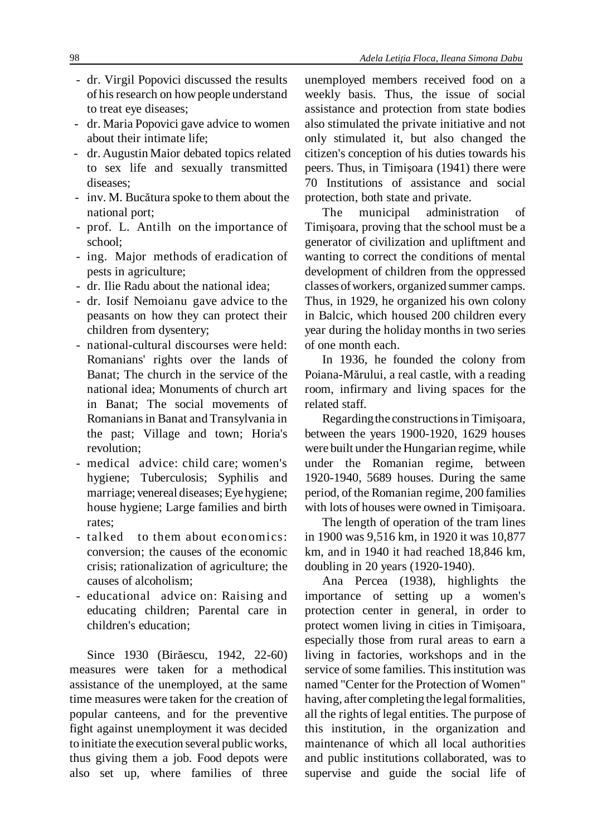- dr. Virgil Popovici discussed the results of hisresearch on howpeople understand to treat eye diseases;
- dr. Maria Popovici gave advice to women about their intimate life;
- dr. Augustin Maior debated topics related to sex life and sexually transmitted diseases;
- inv. M. Bucătura spoke to them about the national port;
- prof. L. Antilh on the importance of school;
- ing. Major methods of eradication of pests in agriculture;
- dr. Ilie Radu about the national idea;
- dr. Iosif Nemoianu gave advice to the peasants on how they can protect their children from dysentery;
- national-cultural discourses were held: Romanians' rights over the lands of Banat; The church in the service of the national idea; Monuments of church art in Banat; The social movements of Romaniansin Banat and Transylvania in the past; Village and town; Horia's revolution;
- medical advice: child care; women's hygiene; Tuberculosis; Syphilis and marriage; venereal diseases; Eye hygiene; house hygiene; Large families and birth rates;
- talked to them about economics: conversion; the causes of the economic crisis; rationalization of agriculture; the causes of alcoholism;
- educational advice on: Raising and educating children; Parental care in children's education;

Since 1930 (Birăescu, 1942, 22-60) measures were taken for a methodical assistance of the unemployed, at the same time measures were taken for the creation of popular canteens, and for the preventive fight against unemployment it was decided to initiate the execution several publicworks, thus giving them a job. Food depots were also set up, where families of three

unemployed members received food on a weekly basis. Thus, the issue of social assistance and protection from state bodies also stimulated the private initiative and not only stimulated it, but also changed the citizen's conception of his duties towards his peers. Thus, in Timişoara (1941) there were 70 Institutions of assistance and social protection, both state and private.

The municipal administration of Timişoara, proving that the school must be a generator of civilization and upliftment and wanting to correct the conditions of mental development of children from the oppressed classes ofworkers, organized summer camps. Thus, in 1929, he organized his own colony in Balcic, which housed 200 children every year during the holiday months in two series of one month each.

In 1936, he founded the colony from Poiana-Mărului, a real castle, with a reading room, infirmary and living spaces for the related staff.

Regarding the constructions in Timişoara, between the years 1900-1920, 1629 houses were built under the Hungarian regime, while under the Romanian regime, between 1920-1940, 5689 houses. During the same period, of the Romanian regime, 200 families with lots of houses were owned in Timişoara.

The length of operation of the tram lines in 1900 was 9,516 km, in 1920 it was 10,877 km, and in 1940 it had reached 18,846 km, doubling in 20 years (1920-1940).

Ana Percea (1938), highlights the importance of setting up a women's protection center in general, in order to protect women living in cities in Timişoara, especially those from rural areas to earn a living in factories, workshops and in the service of some families. This institution was named "Center for the Protection of Women" having, after completing the legal formalities, all the rights of legal entities. The purpose of this institution, in the organization and maintenance of which all local authorities and public institutions collaborated, was to supervise and guide the social life of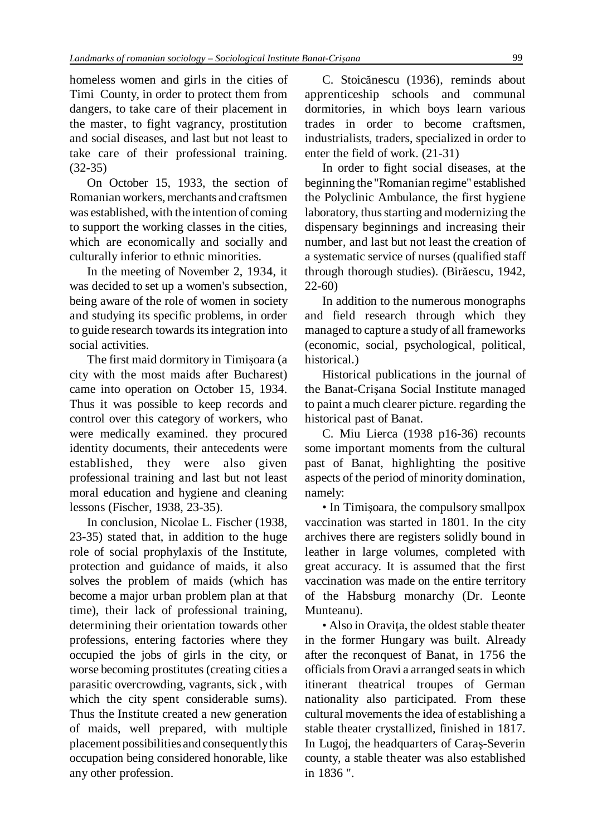homeless women and girls in the cities of Timi County, in order to protect them from dangers, to take care of their placement in the master, to fight vagrancy, prostitution and social diseases, and last but not least to take care of their professional training. (32-35)

On October 15, 1933, the section of Romanian workers, merchants and craftsmen was established, with the intention of coming to support the working classes in the cities, which are economically and socially and culturally inferior to ethnic minorities.

In the meeting of November 2, 1934, it was decided to set up a women's subsection, being aware of the role of women in society and studying its specific problems, in order to guide research towards its integration into social activities.

The first maid dormitory in Timişoara (a city with the most maids after Bucharest) came into operation on October 15, 1934. Thus it was possible to keep records and control over this category of workers, who were medically examined. they procured identity documents, their antecedents were established, they were also given professional training and last but not least moral education and hygiene and cleaning lessons (Fischer, 1938, 23-35).

In conclusion, Nicolae L. Fischer (1938, 23-35) stated that, in addition to the huge role of social prophylaxis of the Institute, protection and guidance of maids, it also solves the problem of maids (which has become a major urban problem plan at that time), their lack of professional training, determining their orientation towards other professions, entering factories where they occupied the jobs of girls in the city, or worse becoming prostitutes (creating cities a parasitic overcrowding, vagrants, sick , with which the city spent considerable sums). Thus the Institute created a new generation of maids, well prepared, with multiple placement possibilities and consequently this occupation being considered honorable, like any other profession.

C. Stoicănescu (1936), reminds about apprenticeship schools and communal dormitories, in which boys learn various trades in order to become craftsmen, industrialists, traders, specialized in order to enter the field of work. (21-31)

In order to fight social diseases, at the beginning the "Romanian regime" established the Polyclinic Ambulance, the first hygiene laboratory, thus starting and modernizing the dispensary beginnings and increasing their number, and last but not least the creation of a systematic service of nurses (qualified staff through thorough studies). (Birăescu, 1942, 22-60)

In addition to the numerous monographs and field research through which they managed to capture a study of all frameworks (economic, social, psychological, political, historical.)

Historical publications in the journal of the Banat-Crişana Social Institute managed to paint a much clearer picture. regarding the historical past of Banat.

C. Miu Lierca (1938 p16-36) recounts some important moments from the cultural past of Banat, highlighting the positive aspects of the period of minority domination, namely:

• In Timişoara, the compulsory smallpox vaccination was started in 1801. In the city archives there are registers solidly bound in leather in large volumes, completed with great accuracy. It is assumed that the first vaccination was made on the entire territory of the Habsburg monarchy (Dr. Leonte Munteanu).

• Also in Oravita, the oldest stable theater in the former Hungary was built. Already after the reconquest of Banat, in 1756 the officials from Oravi a arranged seats in which itinerant theatrical troupes of German nationality also participated. From these cultural movements the idea of establishing a stable theater crystallized, finished in 1817. In Lugoj, the headquarters of Caraş-Severin county, a stable theater was also established in 1836 ".